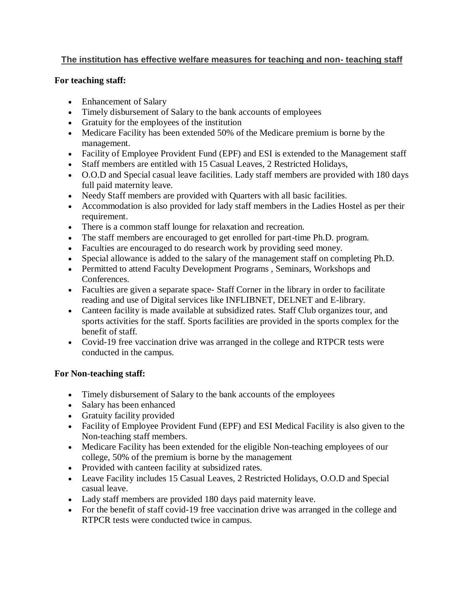## **The institution has effective welfare measures for teaching and non- teaching staff**

## **For teaching staff:**

- Enhancement of Salary
- Timely disbursement of Salary to the bank accounts of employees
- Gratuity for the employees of the institution
- Medicare Facility has been extended 50% of the Medicare premium is borne by the management.
- Facility of Employee Provident Fund (EPF) and ESI is extended to the Management staff
- Staff members are entitled with 15 Casual Leaves, 2 Restricted Holidays,
- O.O.D and Special casual leave facilities. Lady staff members are provided with 180 days full paid maternity leave.
- Needy Staff members are provided with Quarters with all basic facilities.
- Accommodation is also provided for lady staff members in the Ladies Hostel as per their requirement.
- There is a common staff lounge for relaxation and recreation.
- The staff members are encouraged to get enrolled for part-time Ph.D. program.
- Faculties are encouraged to do research work by providing seed money.
- Special allowance is added to the salary of the management staff on completing Ph.D.
- Permitted to attend Faculty Development Programs , Seminars, Workshops and Conferences.
- Faculties are given a separate space- Staff Corner in the library in order to facilitate reading and use of Digital services like INFLIBNET, DELNET and E-library.
- Canteen facility is made available at subsidized rates. Staff Club organizes tour, and sports activities for the staff. Sports facilities are provided in the sports complex for the benefit of staff.
- Covid-19 free vaccination drive was arranged in the college and RTPCR tests were conducted in the campus.

## **For Non-teaching staff:**

- Timely disbursement of Salary to the bank accounts of the employees
- Salary has been enhanced
- Gratuity facility provided
- Facility of Employee Provident Fund (EPF) and ESI Medical Facility is also given to the Non-teaching staff members.
- Medicare Facility has been extended for the eligible Non-teaching employees of our college, 50% of the premium is borne by the management
- Provided with canteen facility at subsidized rates.
- Leave Facility includes 15 Casual Leaves, 2 Restricted Holidays, O.O.D and Special casual leave.
- Lady staff members are provided 180 days paid maternity leave.
- For the benefit of staff covid-19 free vaccination drive was arranged in the college and RTPCR tests were conducted twice in campus.